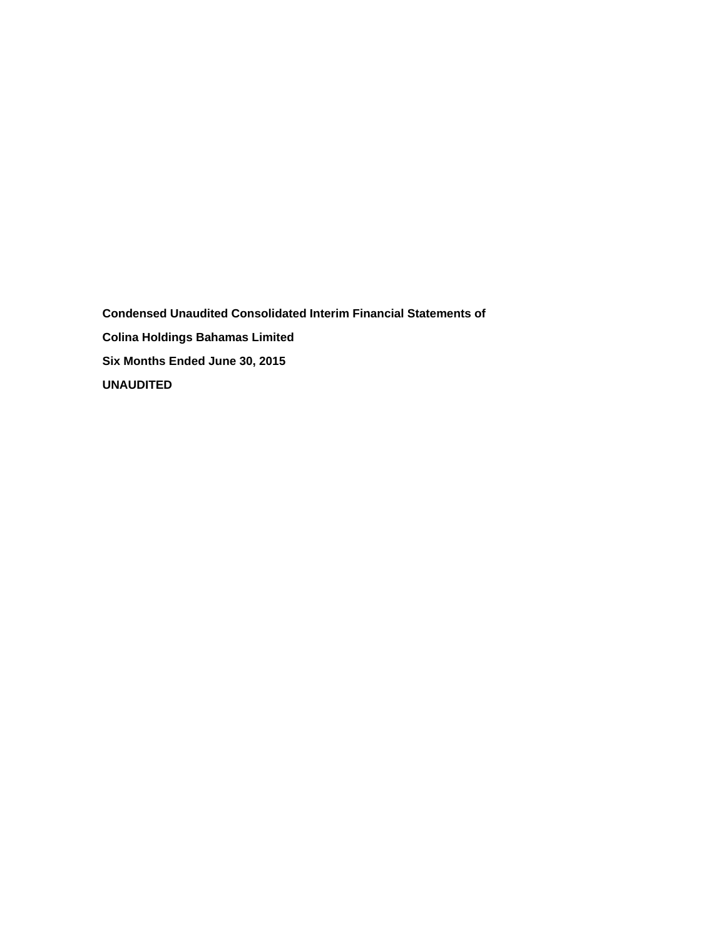**Condensed Unaudited Consolidated Interim Financial Statements of Colina Holdings Bahamas Limited Six Months Ended June 30, 2015 UNAUDITED**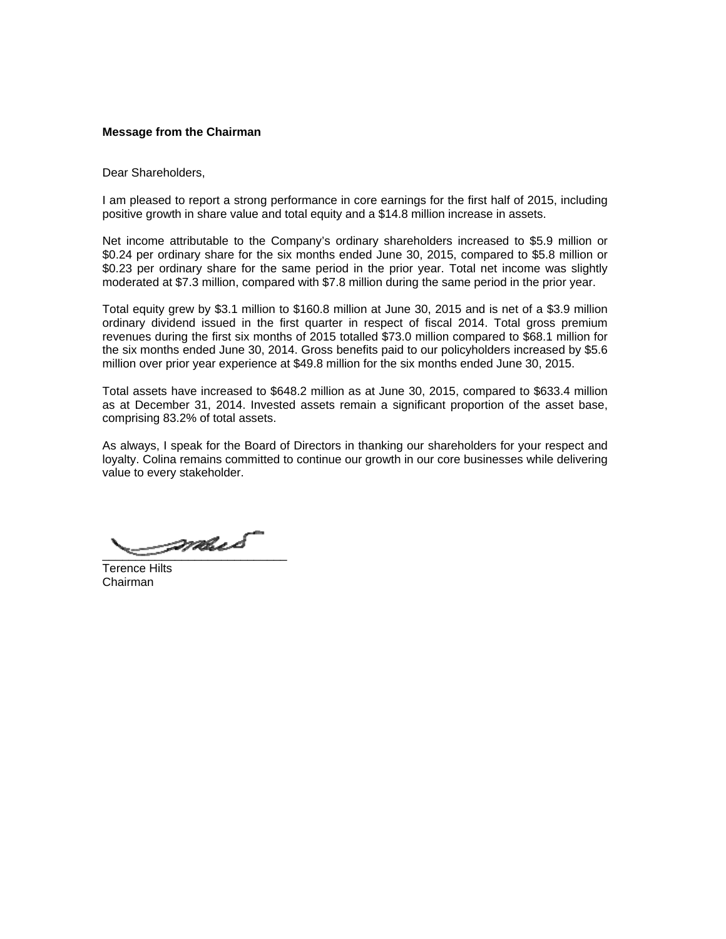### **Message from the Chairman**

Dear Shareholders,

I am pleased to report a strong performance in core earnings for the first half of 2015, including positive growth in share value and total equity and a \$14.8 million increase in assets.

Net income attributable to the Company's ordinary shareholders increased to \$5.9 million or \$0.24 per ordinary share for the six months ended June 30, 2015, compared to \$5.8 million or \$0.23 per ordinary share for the same period in the prior year. Total net income was slightly moderated at \$7.3 million, compared with \$7.8 million during the same period in the prior year.

Total equity grew by \$3.1 million to \$160.8 million at June 30, 2015 and is net of a \$3.9 million ordinary dividend issued in the first quarter in respect of fiscal 2014. Total gross premium revenues during the first six months of 2015 totalled \$73.0 million compared to \$68.1 million for the six months ended June 30, 2014. Gross benefits paid to our policyholders increased by \$5.6 million over prior year experience at \$49.8 million for the six months ended June 30, 2015.

Total assets have increased to \$648.2 million as at June 30, 2015, compared to \$633.4 million as at December 31, 2014. Invested assets remain a significant proportion of the asset base, comprising 83.2% of total assets.

As always, I speak for the Board of Directors in thanking our shareholders for your respect and loyalty. Colina remains committed to continue our growth in our core businesses while delivering value to every stakeholder.

\_\_\_\_\_\_\_\_\_\_\_\_\_\_\_\_\_\_\_\_\_\_\_\_\_\_\_\_

Terence Hilts Chairman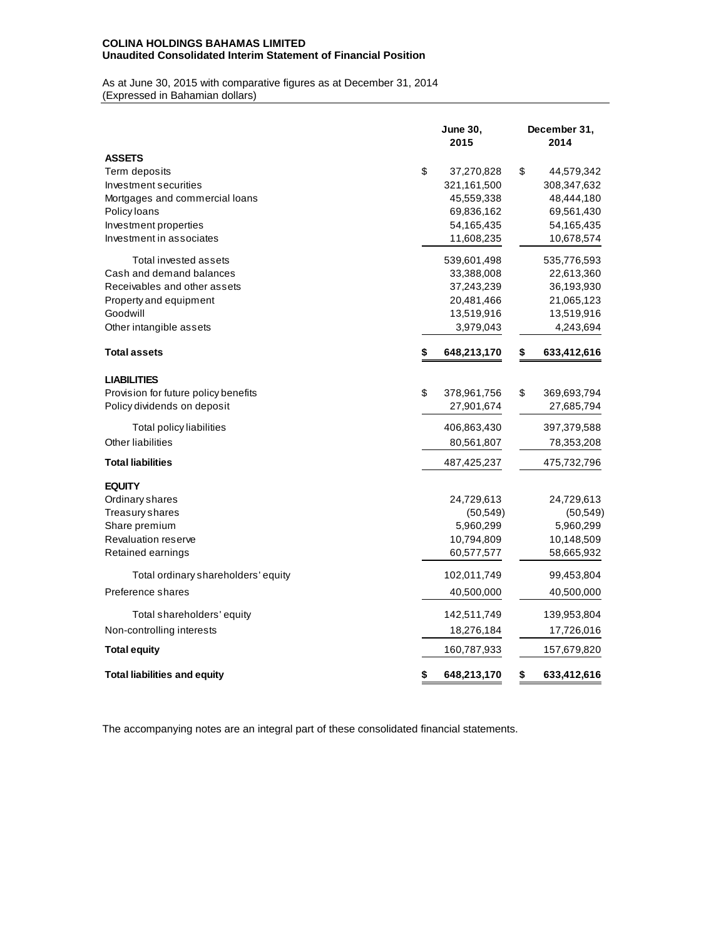## **COLINA HOLDINGS BAHAMAS LIMITED Unaudited Consolidated Interim Statement of Financial Position**

As at June 30, 2015 with comparative figures as at December 31, 2014 (Expressed in Bahamian dollars)

|                                      | <b>June 30,</b><br>2015 | December 31,<br>2014 |
|--------------------------------------|-------------------------|----------------------|
| <b>ASSETS</b>                        |                         |                      |
| Term deposits                        | \$<br>37,270,828        | \$<br>44,579,342     |
| Investment securities                | 321,161,500             | 308, 347, 632        |
| Mortgages and commercial loans       | 45,559,338              | 48,444,180           |
| Policy loans                         | 69,836,162              | 69,561,430           |
| Investment properties                | 54,165,435              | 54, 165, 435         |
| Investment in associates             | 11,608,235              | 10,678,574           |
| Total invested assets                | 539,601,498             | 535,776,593          |
| Cash and demand balances             | 33,388,008              | 22,613,360           |
| Receivables and other assets         | 37,243,239              | 36,193,930           |
| Property and equipment               | 20,481,466              | 21,065,123           |
| Goodwill                             | 13,519,916              | 13,519,916           |
| Other intangible assets              | 3,979,043               | 4,243,694            |
| <b>Total assets</b>                  | \$<br>648,213,170       | \$<br>633,412,616    |
| <b>LIABILITIES</b>                   |                         |                      |
| Provision for future policy benefits | \$<br>378,961,756       | \$<br>369,693,794    |
| Policy dividends on deposit          | 27,901,674              | 27,685,794           |
| Total policy liabilities             | 406,863,430             | 397,379,588          |
| Other liabilities                    | 80,561,807              | 78,353,208           |
| <b>Total liabilities</b>             | 487,425,237             | 475,732,796          |
| <b>EQUITY</b>                        |                         |                      |
| Ordinary shares                      | 24,729,613              | 24,729,613           |
| Treasury shares                      | (50, 549)               | (50, 549)            |
| Share premium                        | 5,960,299               | 5,960,299            |
| <b>Revaluation reserve</b>           | 10,794,809              | 10,148,509           |
| Retained earnings                    | 60,577,577              | 58,665,932           |
| Total ordinary shareholders' equity  | 102,011,749             | 99,453,804           |
| Preference shares                    | 40,500,000              | 40,500,000           |
| Total shareholders' equity           | 142,511,749             | 139,953,804          |
| Non-controlling interests            | 18,276,184              | 17,726,016           |
| <b>Total equity</b>                  | 160,787,933             | 157,679,820          |
| <b>Total liabilities and equity</b>  | \$<br>648,213,170       | \$<br>633,412,616    |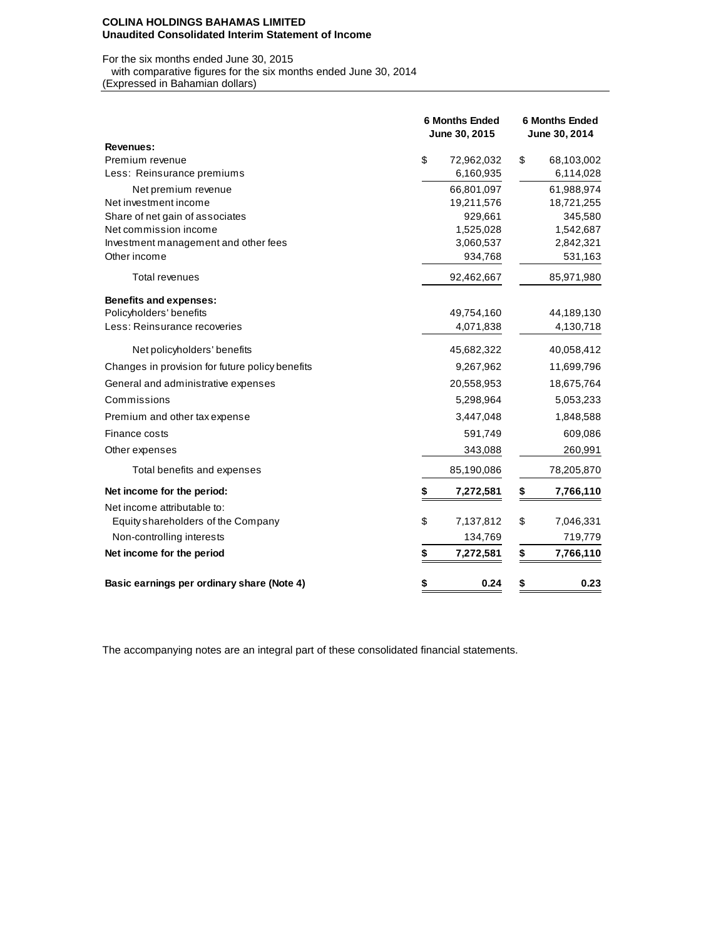#### **COLINA HOLDINGS BAHAMAS LIMITED Unaudited Consolidated Interim Statement of Income**

# For the six months ended June 30, 2015 with comparative figures for the six months ended June 30, 2014

(Expressed in Bahamian dollars)

|                                                 | <b>6 Months Ended</b><br>June 30, 2015 |            | <b>6 Months Ended</b><br>June 30, 2014 |            |  |  |
|-------------------------------------------------|----------------------------------------|------------|----------------------------------------|------------|--|--|
| Revenues:                                       |                                        |            |                                        |            |  |  |
| Premium revenue                                 | \$                                     | 72,962,032 | \$                                     | 68,103,002 |  |  |
| Less: Reinsurance premiums                      |                                        | 6,160,935  |                                        | 6,114,028  |  |  |
| Net premium revenue                             |                                        | 66,801,097 |                                        | 61,988,974 |  |  |
| Net investment income                           |                                        | 19,211,576 |                                        | 18,721,255 |  |  |
| Share of net gain of associates                 |                                        | 929,661    |                                        | 345,580    |  |  |
| Net commission income                           |                                        | 1,525,028  |                                        | 1,542,687  |  |  |
| Investment management and other fees            |                                        | 3,060,537  |                                        | 2,842,321  |  |  |
| Other income                                    |                                        | 934,768    |                                        | 531,163    |  |  |
| <b>Total revenues</b>                           |                                        | 92,462,667 |                                        | 85,971,980 |  |  |
| <b>Benefits and expenses:</b>                   |                                        |            |                                        |            |  |  |
| Policyholders' benefits                         |                                        | 49,754,160 |                                        | 44,189,130 |  |  |
| Less: Reinsurance recoveries                    |                                        | 4,071,838  |                                        | 4,130,718  |  |  |
| Net policyholders' benefits                     |                                        | 45,682,322 |                                        | 40,058,412 |  |  |
| Changes in provision for future policy benefits |                                        | 9,267,962  |                                        | 11,699,796 |  |  |
| General and administrative expenses             |                                        | 20,558,953 |                                        | 18,675,764 |  |  |
| Commissions                                     |                                        | 5,298,964  |                                        | 5,053,233  |  |  |
| Premium and other tax expense                   |                                        | 3,447,048  |                                        | 1,848,588  |  |  |
| Finance costs                                   |                                        | 591,749    |                                        | 609,086    |  |  |
| Other expenses                                  |                                        | 343,088    |                                        | 260,991    |  |  |
| Total benefits and expenses                     |                                        | 85,190,086 |                                        | 78,205,870 |  |  |
| Net income for the period:                      | \$                                     | 7,272,581  | \$                                     | 7,766,110  |  |  |
| Net income attributable to:                     |                                        |            |                                        |            |  |  |
| Equity shareholders of the Company              | \$                                     | 7,137,812  | \$                                     | 7,046,331  |  |  |
| Non-controlling interests                       |                                        | 134,769    |                                        | 719,779    |  |  |
| Net income for the period                       | \$                                     | 7,272,581  | \$                                     | 7,766,110  |  |  |
| Basic earnings per ordinary share (Note 4)      | \$                                     | 0.24       | \$                                     | 0.23       |  |  |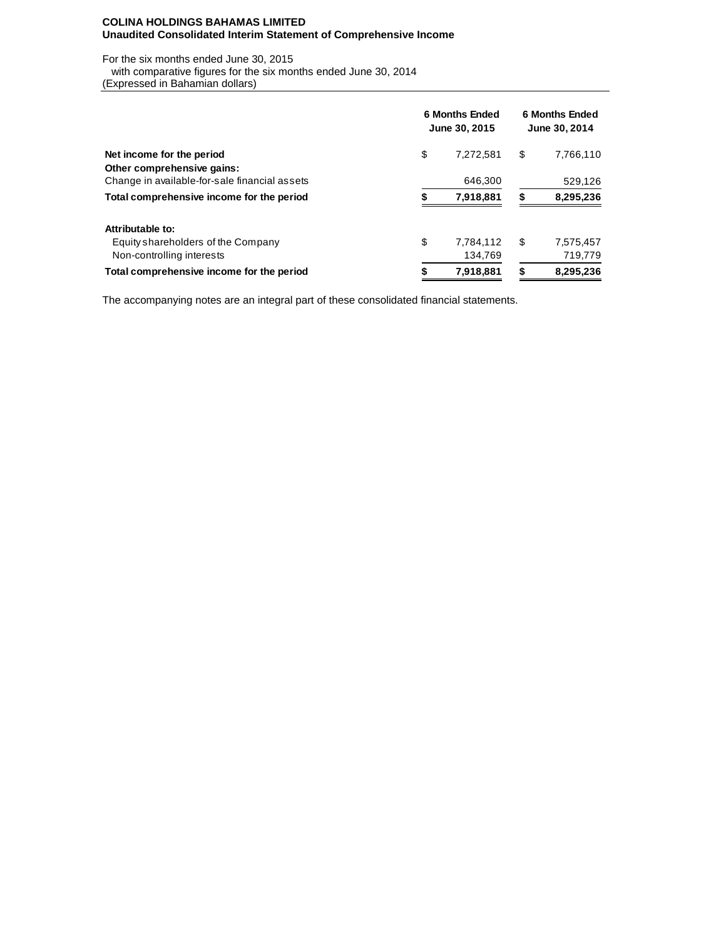### **COLINA HOLDINGS BAHAMAS LIMITED Unaudited Consolidated Interim Statement of Comprehensive Income**

For the six months ended June 30, 2015

with comparative figures for the six months ended June 30, 2014

(Expressed in Bahamian dollars)

|                                               | <b>6 Months Ended</b><br>June 30, 2015 |           |    | <b>6 Months Ended</b><br>June 30, 2014 |  |  |  |
|-----------------------------------------------|----------------------------------------|-----------|----|----------------------------------------|--|--|--|
| Net income for the period                     | \$                                     | 7.272.581 | \$ | 7,766,110                              |  |  |  |
| Other comprehensive gains:                    |                                        |           |    |                                        |  |  |  |
| Change in available-for-sale financial assets |                                        | 646.300   |    | 529,126                                |  |  |  |
| Total comprehensive income for the period     |                                        | 7,918,881 | S  | 8,295,236                              |  |  |  |
| Attributable to:                              |                                        |           |    |                                        |  |  |  |
| Equity shareholders of the Company            | \$                                     | 7,784,112 | \$ | 7,575,457                              |  |  |  |
| Non-controlling interests                     |                                        | 134,769   |    | 719,779                                |  |  |  |
| Total comprehensive income for the period     | \$                                     | 7,918,881 | \$ | 8,295,236                              |  |  |  |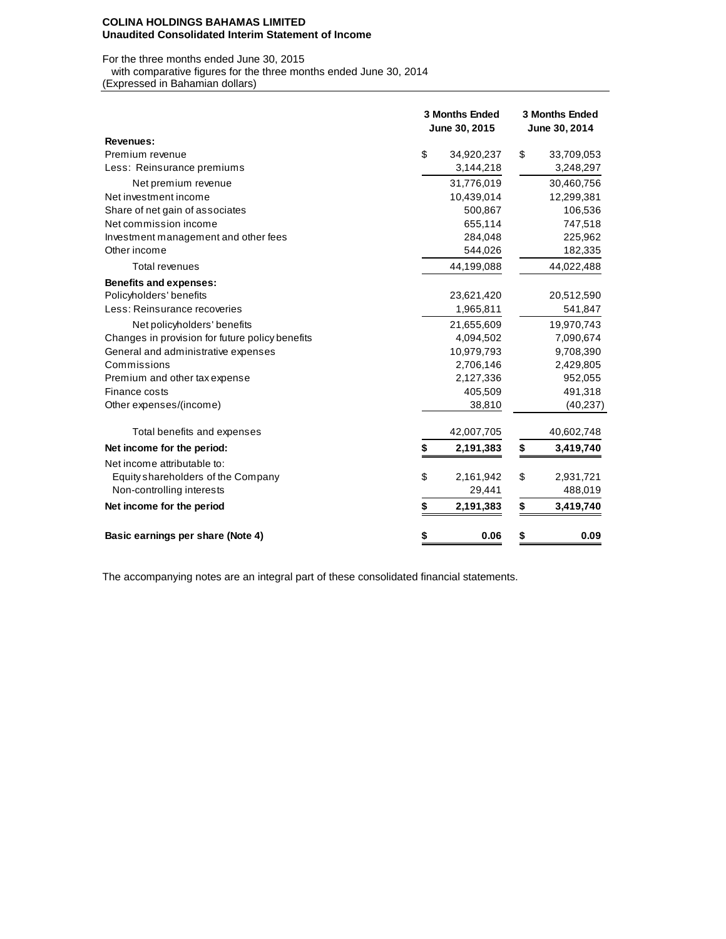#### **COLINA HOLDINGS BAHAMAS LIMITED Unaudited Consolidated Interim Statement of Income**

For the three months ended June 30, 2015 with comparative figures for the three months ended June 30, 2014

(Expressed in Bahamian dollars)

|                                                 | <b>3 Months Ended</b><br>June 30, 2015 |            | <b>3 Months Ended</b><br>June 30, 2014 |            |  |  |
|-------------------------------------------------|----------------------------------------|------------|----------------------------------------|------------|--|--|
| <b>Revenues:</b>                                |                                        |            |                                        |            |  |  |
| Premium revenue                                 | \$                                     | 34,920,237 | \$                                     | 33,709,053 |  |  |
| Less: Reinsurance premiums                      |                                        | 3,144,218  |                                        | 3,248,297  |  |  |
| Net premium revenue                             |                                        | 31,776,019 |                                        | 30,460,756 |  |  |
| Net investment income                           |                                        | 10,439,014 |                                        | 12,299,381 |  |  |
| Share of net gain of associates                 |                                        | 500,867    |                                        | 106,536    |  |  |
| Net commission income                           |                                        | 655,114    |                                        | 747,518    |  |  |
| Investment management and other fees            |                                        | 284,048    |                                        | 225,962    |  |  |
| Other income                                    |                                        | 544,026    |                                        | 182,335    |  |  |
| <b>Total revenues</b>                           |                                        | 44,199,088 |                                        | 44,022,488 |  |  |
| <b>Benefits and expenses:</b>                   |                                        |            |                                        |            |  |  |
| Policyholders' benefits                         |                                        | 23,621,420 |                                        | 20,512,590 |  |  |
| Less: Reinsurance recoveries                    |                                        | 1,965,811  |                                        | 541,847    |  |  |
| Net policyholders' benefits                     |                                        | 21,655,609 |                                        | 19,970,743 |  |  |
| Changes in provision for future policy benefits |                                        | 4,094,502  |                                        | 7,090,674  |  |  |
| General and administrative expenses             |                                        | 10,979,793 |                                        | 9,708,390  |  |  |
| Commissions                                     |                                        | 2,706,146  |                                        | 2,429,805  |  |  |
| Premium and other tax expense                   |                                        | 2,127,336  |                                        | 952,055    |  |  |
| Finance costs                                   |                                        | 405,509    |                                        | 491,318    |  |  |
| Other expenses/(income)                         |                                        | 38,810     |                                        | (40, 237)  |  |  |
| Total benefits and expenses                     |                                        | 42,007,705 |                                        | 40,602,748 |  |  |
| Net income for the period:                      | \$                                     | 2,191,383  | \$                                     | 3,419,740  |  |  |
| Net income attributable to:                     |                                        |            |                                        |            |  |  |
| Equity shareholders of the Company              | \$                                     | 2,161,942  | \$                                     | 2,931,721  |  |  |
| Non-controlling interests                       |                                        | 29,441     |                                        | 488,019    |  |  |
| Net income for the period                       | \$                                     | 2,191,383  | \$                                     | 3,419,740  |  |  |
| Basic earnings per share (Note 4)               | \$                                     | 0.06       | \$                                     | 0.09       |  |  |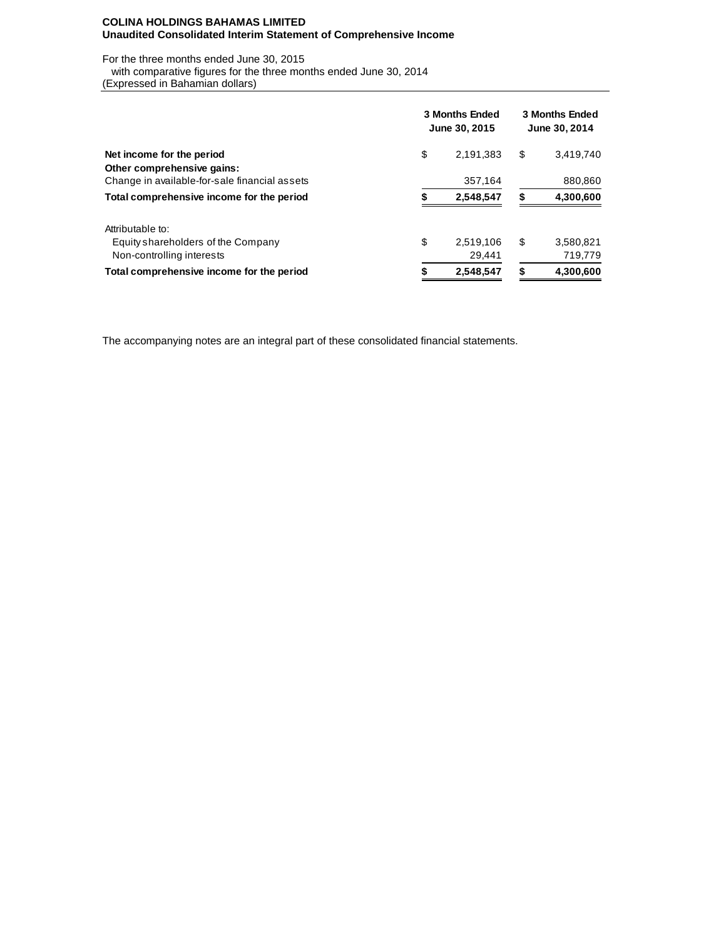### **COLINA HOLDINGS BAHAMAS LIMITED Unaudited Consolidated Interim Statement of Comprehensive Income**

For the three months ended June 30, 2015 with comparative figures for the three months ended June 30, 2014

(Expressed in Bahamian dollars)

|                                               | <b>3 Months Ended</b><br>June 30, 2015 | <b>3 Months Ended</b><br>June 30, 2014 |    |           |  |
|-----------------------------------------------|----------------------------------------|----------------------------------------|----|-----------|--|
| Net income for the period                     | \$                                     | 2,191,383                              | \$ | 3,419,740 |  |
| Other comprehensive gains:                    |                                        |                                        |    |           |  |
| Change in available-for-sale financial assets |                                        | 357.164                                |    | 880,860   |  |
| Total comprehensive income for the period     |                                        | 2,548,547                              | S  | 4,300,600 |  |
| Attributable to:                              |                                        |                                        |    |           |  |
| Equity shareholders of the Company            | \$                                     | 2.519.106                              | S  | 3,580,821 |  |
| Non-controlling interests                     |                                        | 29,441                                 |    | 719,779   |  |
| Total comprehensive income for the period     |                                        | 2,548,547                              | \$ | 4,300,600 |  |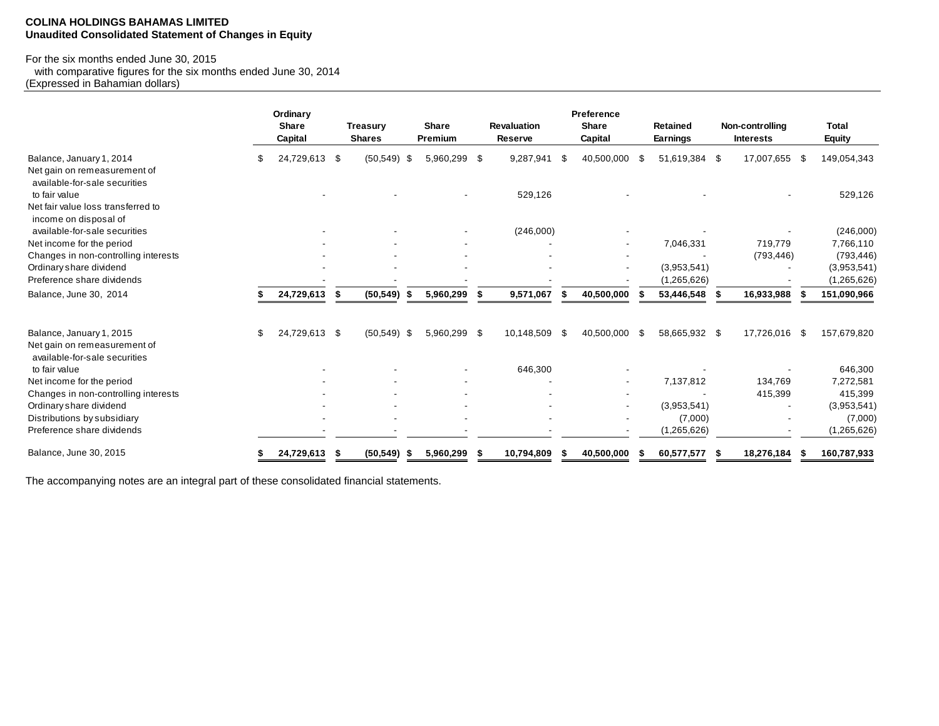#### **COLINA HOLDINGS BAHAMAS LIMITED Unaudited Consolidated Statement of Changes in Equity**

## For the six months ended June 30, 2015

 with comparative figures for the six months ended June 30, 2014 (Expressed in Bahamian dollars)

|                                                               | Ordinary<br><b>Share</b><br>Capital |      | <b>Treasury</b><br><b>Shares</b> |     | <b>Share</b><br>Premium | <b>Revaluation</b><br>Reserve |     | Preference<br><b>Share</b><br>Capital |      | <b>Retained</b><br>Earnings | Non-controlling<br><b>Interests</b> |      | Total<br>Equity |
|---------------------------------------------------------------|-------------------------------------|------|----------------------------------|-----|-------------------------|-------------------------------|-----|---------------------------------------|------|-----------------------------|-------------------------------------|------|-----------------|
| Balance, January 1, 2014                                      | 24,729,613                          | -\$  | (50, 549)                        | -\$ | 5,960,299 \$            | 9,287,941                     | \$  | 40,500,000                            | S    | 51,619,384 \$               | 17,007,655                          | - 56 | 149,054,343     |
| Net gain on remeasurement of<br>available-for-sale securities |                                     |      |                                  |     |                         |                               |     |                                       |      |                             |                                     |      |                 |
| to fair value                                                 |                                     |      |                                  |     |                         | 529,126                       |     |                                       |      |                             |                                     |      | 529,126         |
| Net fair value loss transferred to<br>income on disposal of   |                                     |      |                                  |     |                         |                               |     |                                       |      |                             |                                     |      |                 |
| available-for-sale securities                                 |                                     |      |                                  |     |                         | (246,000)                     |     |                                       |      |                             |                                     |      | (246,000)       |
| Net income for the period                                     |                                     |      |                                  |     |                         |                               |     |                                       |      | 7,046,331                   | 719,779                             |      | 7,766,110       |
| Changes in non-controlling interests                          |                                     |      |                                  |     |                         |                               |     |                                       |      |                             | (793, 446)                          |      | (793, 446)      |
| Ordinary share dividend                                       |                                     |      |                                  |     |                         |                               |     |                                       |      | (3,953,541)                 |                                     |      | (3,953,541)     |
| Preference share dividends                                    |                                     |      |                                  |     |                         |                               |     |                                       |      | (1, 265, 626)               |                                     |      | (1,265,626)     |
| Balance, June 30, 2014                                        | 24,729,613                          | - \$ | (50, 549)                        | - 5 | 5,960,299               | 9,571,067                     |     | 40,500,000                            |      | 53,446,548                  | 16,933,988                          |      | 151,090,966     |
| Balance, January 1, 2015                                      | \$<br>24,729,613 \$                 |      | $(50,549)$ \$                    |     | 5,960,299 \$            | 10,148,509                    | -\$ | 40,500,000                            | - \$ | 58,665,932 \$               | 17,726,016                          | - \$ | 157,679,820     |
| Net gain on remeasurement of<br>available-for-sale securities |                                     |      |                                  |     |                         |                               |     |                                       |      |                             |                                     |      |                 |
| to fair value                                                 |                                     |      |                                  |     |                         | 646,300                       |     |                                       |      |                             |                                     |      | 646,300         |
| Net income for the period                                     |                                     |      |                                  |     |                         |                               |     |                                       |      | 7,137,812                   | 134,769                             |      | 7,272,581       |
| Changes in non-controlling interests                          |                                     |      |                                  |     |                         |                               |     |                                       |      |                             | 415,399                             |      | 415,399         |
| Ordinary share dividend                                       |                                     |      |                                  |     |                         |                               |     |                                       |      | (3,953,541)                 |                                     |      | (3,953,541)     |
| Distributions by subsidiary                                   |                                     |      |                                  |     |                         |                               |     |                                       |      | (7,000)                     |                                     |      | (7,000)         |
| Preference share dividends                                    |                                     |      |                                  |     |                         |                               |     |                                       |      | (1,265,626)                 |                                     |      | (1,265,626)     |
| Balance, June 30, 2015                                        | 24,729,613                          |      | (50, 549)                        |     | 5,960,299               | 10,794,809                    |     | 40,500,000                            |      | 60,577,577                  | 18,276,184                          |      | 160,787,933     |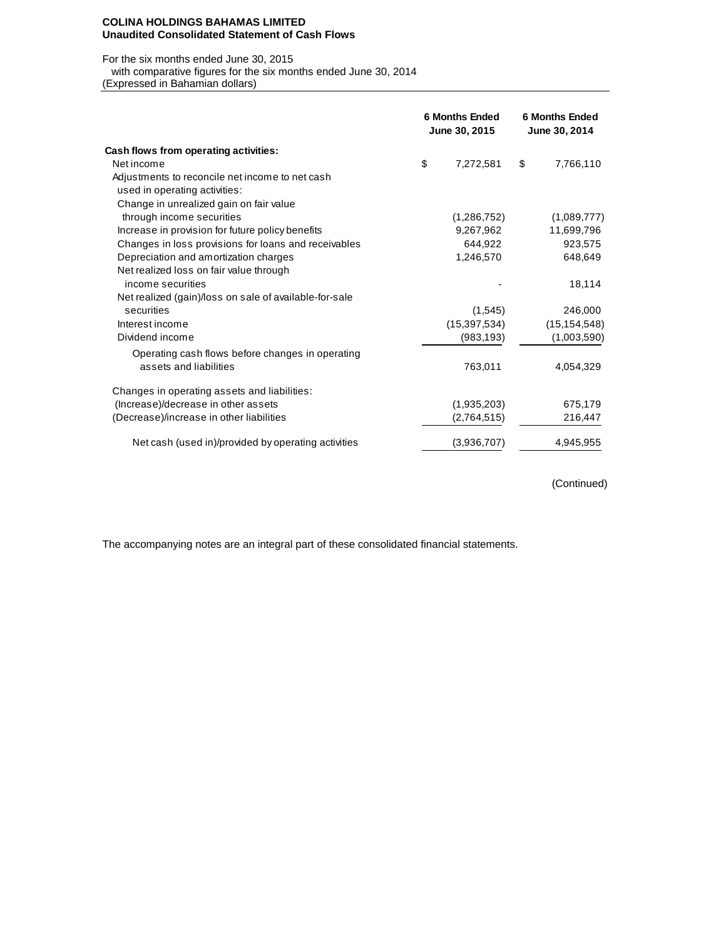#### **COLINA HOLDINGS BAHAMAS LIMITED Unaudited Consolidated Statement of Cash Flows**

#### For the six months ended June 30, 2015

with comparative figures for the six months ended June 30, 2014

(Expressed in Bahamian dollars)

|                                                        | <b>6 Months Ended</b><br>June 30, 2015 | <b>6 Months Ended</b><br>June 30, 2014 |                |  |
|--------------------------------------------------------|----------------------------------------|----------------------------------------|----------------|--|
| Cash flows from operating activities:                  |                                        |                                        |                |  |
| Net income                                             | \$<br>7,272,581                        | \$                                     | 7,766,110      |  |
| Adjustments to reconcile net income to net cash        |                                        |                                        |                |  |
| used in operating activities:                          |                                        |                                        |                |  |
| Change in unrealized gain on fair value                |                                        |                                        |                |  |
| through income securities                              | (1,286,752)                            |                                        | (1,089,777)    |  |
| Increase in provision for future policy benefits       | 9,267,962                              |                                        | 11,699,796     |  |
| Changes in loss provisions for loans and receivables   | 644,922                                |                                        | 923,575        |  |
| Depreciation and amortization charges                  | 1,246,570                              |                                        | 648,649        |  |
| Net realized loss on fair value through                |                                        |                                        |                |  |
| income securities                                      |                                        |                                        | 18,114         |  |
| Net realized (gain)/loss on sale of available-for-sale |                                        |                                        |                |  |
| securities                                             | (1,545)                                |                                        | 246,000        |  |
| Interest income                                        | (15, 397, 534)                         |                                        | (15, 154, 548) |  |
| Dividend income                                        | (983, 193)                             |                                        | (1,003,590)    |  |
| Operating cash flows before changes in operating       |                                        |                                        |                |  |
| assets and liabilities                                 | 763,011                                |                                        | 4,054,329      |  |
|                                                        |                                        |                                        |                |  |
| Changes in operating assets and liabilities:           |                                        |                                        |                |  |
| (Increase)/decrease in other assets                    | (1,935,203)                            |                                        | 675,179        |  |
| (Decrease)/increase in other liabilities               | (2,764,515)                            |                                        | 216,447        |  |
|                                                        |                                        |                                        |                |  |
| Net cash (used in)/provided by operating activities    | (3,936,707)                            |                                        | 4,945,955      |  |
|                                                        |                                        |                                        |                |  |

(Continued)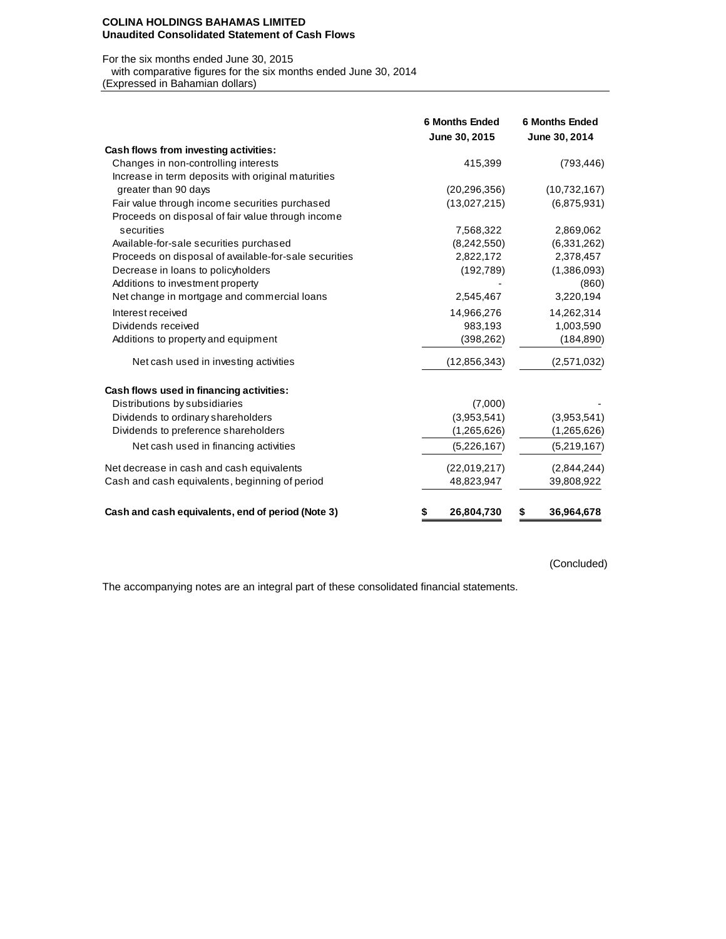#### **COLINA HOLDINGS BAHAMAS LIMITED Unaudited Consolidated Statement of Cash Flows**

#### For the six months ended June 30, 2015

 with comparative figures for the six months ended June 30, 2014 (Expressed in Bahamian dollars)

|                                                       | <b>6 Months Ended</b><br>June 30, 2015 | <b>6 Months Ended</b><br>June 30, 2014 |
|-------------------------------------------------------|----------------------------------------|----------------------------------------|
| Cash flows from investing activities:                 |                                        |                                        |
| Changes in non-controlling interests                  | 415,399                                | (793, 446)                             |
| Increase in term deposits with original maturities    |                                        |                                        |
| greater than 90 days                                  | (20, 296, 356)                         | (10, 732, 167)                         |
| Fair value through income securities purchased        | (13,027,215)                           | (6,875,931)                            |
| Proceeds on disposal of fair value through income     |                                        |                                        |
| securities                                            | 7,568,322                              | 2,869,062                              |
| Available-for-sale securities purchased               | (8,242,550)                            | (6,331,262)                            |
| Proceeds on disposal of available-for-sale securities | 2,822,172                              | 2,378,457                              |
| Decrease in loans to policyholders                    | (192, 789)                             | (1,386,093)                            |
| Additions to investment property                      |                                        | (860)                                  |
| Net change in mortgage and commercial loans           | 2,545,467                              | 3,220,194                              |
| Interest received                                     | 14,966,276                             | 14,262,314                             |
| Dividends received                                    | 983,193                                | 1,003,590                              |
| Additions to property and equipment                   | (398, 262)                             | (184, 890)                             |
| Net cash used in investing activities                 | (12, 856, 343)                         | (2,571,032)                            |
| Cash flows used in financing activities:              |                                        |                                        |
| Distributions by subsidiaries                         | (7,000)                                |                                        |
| Dividends to ordinary shareholders                    | (3,953,541)                            | (3,953,541)                            |
| Dividends to preference shareholders                  | (1,265,626)                            | (1,265,626)                            |
| Net cash used in financing activities                 | (5,226,167)                            | (5,219,167)                            |
| Net decrease in cash and cash equivalents             | (22,019,217)                           | (2,844,244)                            |
| Cash and cash equivalents, beginning of period        | 48,823,947                             | 39,808,922                             |
| Cash and cash equivalents, end of period (Note 3)     | 26,804,730<br>\$                       | 36,964,678<br>\$                       |

(Concluded)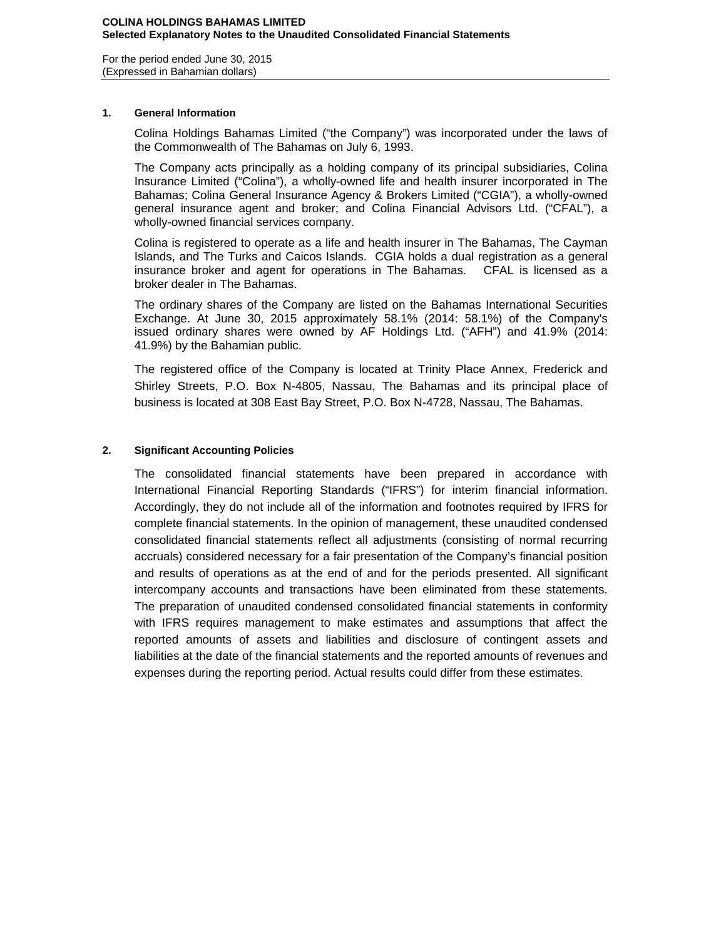For the period ended June 30, 2015 (Expressed in Bahamian dollars)

## **1. General Information**

Colina Holdings Bahamas Limited ("the Company") was incorporated under the laws of the Commonwealth of The Bahamas on July 6, 1993.

The Company acts principally as a holding company of its principal subsidiaries, Colina Insurance Limited ("Colina"), a wholly-owned life and health insurer incorporated in The Bahamas; Colina General Insurance Agency & Brokers Limited ("CGIA"), a wholly-owned general insurance agent and broker; and Colina Financial Advisors Ltd. ("CFAL"), a wholly-owned financial services company.

Colina is registered to operate as a life and health insurer in The Bahamas, The Cayman Islands, and The Turks and Caicos Islands. CGIA holds a dual registration as a general insurance broker and agent for operations in The Bahamas. CFAL is licensed as a broker dealer in The Bahamas.

The ordinary shares of the Company are listed on the Bahamas International Securities Exchange. At June 30, 2015 approximately 58.1% (2014: 58.1%) of the Company's issued ordinary shares were owned by AF Holdings Ltd. ("AFH") and 41.9% (2014: 41.9%) by the Bahamian public.

The registered office of the Company is located at Trinity Place Annex, Frederick and Shirley Streets, P.O. Box N-4805, Nassau, The Bahamas and its principal place of business is located at 308 East Bay Street, P.O. Box N-4728, Nassau, The Bahamas.

## **2. Significant Accounting Policies**

The consolidated financial statements have been prepared in accordance with International Financial Reporting Standards ("IFRS") for interim financial information. Accordingly, they do not include all of the information and footnotes required by IFRS for complete financial statements. In the opinion of management, these unaudited condensed consolidated financial statements reflect all adjustments (consisting of normal recurring accruals) considered necessary for a fair presentation of the Company's financial position and results of operations as at the end of and for the periods presented. All significant intercompany accounts and transactions have been eliminated from these statements. The preparation of unaudited condensed consolidated financial statements in conformity with IFRS requires management to make estimates and assumptions that affect the reported amounts of assets and liabilities and disclosure of contingent assets and liabilities at the date of the financial statements and the reported amounts of revenues and expenses during the reporting period. Actual results could differ from these estimates.